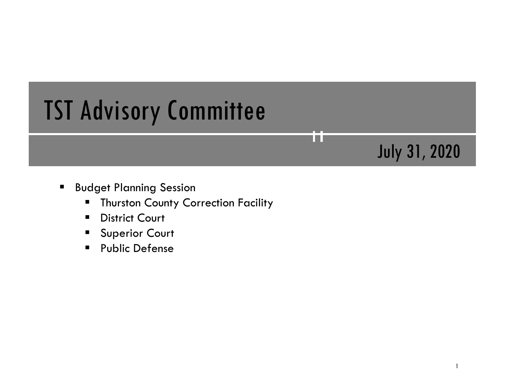# TST Advisory Committee

## **Budget Planning Session**

- **Thurston County Correction Facility**
- **District Court**
- **Superior Court**
- **Public Defense**

July 31, 2020

TП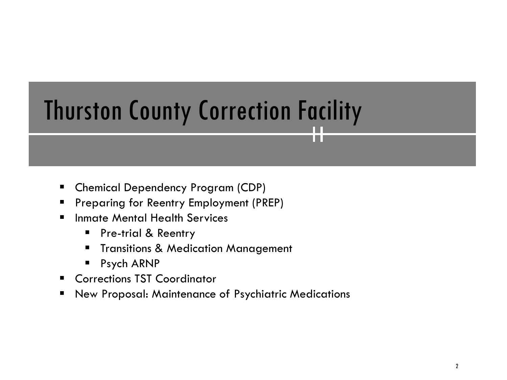# Thurston County Correction Facility

H.

- Chemical Dependency Program (CDP)
- **Preparing for Reentry Employment (PREP)**
- **F** Inmate Mental Health Services
	- **Pre-trial & Reentry**
	- **Transitions & Medication Management**
	- **Psych ARNP**
- **E** Corrections TST Coordinator
- New Proposal: Maintenance of Psychiatric Medications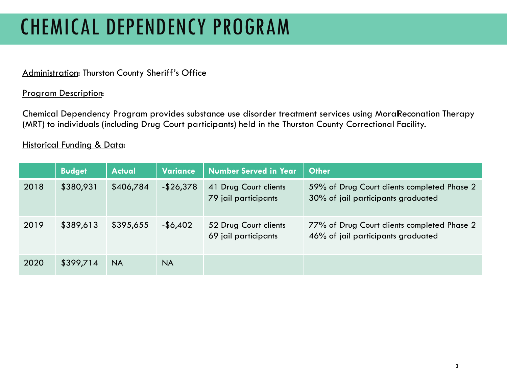# CHEMICAL DEPENDENCY PROGRAM

## Administration: Thurston County Sheriff's Office

### Program Description:

Chemical Dependency Program provides substance use disorder treatment services using Moral Reconation Therapy (MRT) to individuals (including Drug Court participants) held in the Thurston County Correctional Facility.

|      | <b>Budget</b> | <b>Actual</b> | Variance     | <b>Number Served in Year</b>                  | <b>Other</b>                                                                      |
|------|---------------|---------------|--------------|-----------------------------------------------|-----------------------------------------------------------------------------------|
| 2018 | \$380,931     | \$406,784     | $-$ \$26,378 | 41 Drug Court clients<br>79 jail participants | 59% of Drug Court clients completed Phase 2<br>30% of jail participants graduated |
| 2019 | \$389,613     | \$395,655     | $-$ \$6,402  | 52 Drug Court clients<br>69 jail participants | 77% of Drug Court clients completed Phase 2<br>46% of jail participants graduated |
| 2020 | \$399,714     | NA.           | NA.          |                                               |                                                                                   |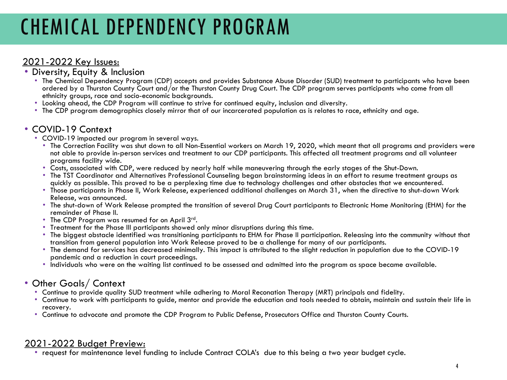# CHEMICAL DEPENDENCY PROGRAM

- 2021-2022 Key Issues: Diversity, Equity & Inclusion
	- The Chemical Dependency Program (CDP) accepts and provides Substance Abuse Disorder (SUD) treatment to participants who have been ordered by a Thurston County Court and/or the Thurston County Drug Court. The CDP program serves participants who come from all
	-
	- Looking ahead, the CDP Program will continue to strive for continued equity, inclusion and diversity.<br>• The CDP program demographics closely mirror that of our incarcerated population as is relates to race, ethnicity and

- 
- COVID-19 Context<br>• COVID-19 impacted our program in several ways.<br>• The Correction Facility was shut down to all Non-Essential workers on March 19, 2020, which meant that all programs and providers were not able to provide in-person services and treatment to our CDP participants. This affected all treatment programs and all volunteer
	-
	- programs facility wide.<br>• Costs, associated with CDP, were reduced by nearly half while maneuvering through the early stages of the Shut-Down.<br>• The TST Coordinator and Alternatives Professional Counseling began brainstorm
	- Those participants in Phase II, Work Release, experienced additional challenges on March 31, when the directive to shut-down Work<br>Release, was announced.
	- The shut-down of Work Release prompted the transition of several Drug Court participants to Electronic Home Monitoring (EHM) for the remainder of Phase II.
	-
	-
	- The CDP Program was resumed for on April 3<sup>rd</sup>.<br>• Treatment for the Phase III participants showed only minor disruptions during this time.<br>• The biggest obstacle identified was transitioning participants to EHM for Phase
	- The demand for services has decreased minimally. This impact is attributed to the slight reduction in population due to the COVID-19 pandemic and a reduction in court proceedings.
	- Individuals who were on the waiting list continued to be assessed and admitted into the program as space became available.

- Other Goals/ Context<br>• Continue to provide quality SUD treatment while adhering to Moral Reconation Therapy (MRT) principals and fidelity.
	- Continue to work with participants to guide, mentor and provide the education and tools needed to obtain, maintain and sustain their life in recovery. • Continue to advocate and promote the CDP Program to Public Defense, Prosecutors Office and Thurston County Courts.
	-

2021-2022 Budget Preview: • request for maintenance level funding to include Contract COLA's due to this being a two year budget cycle.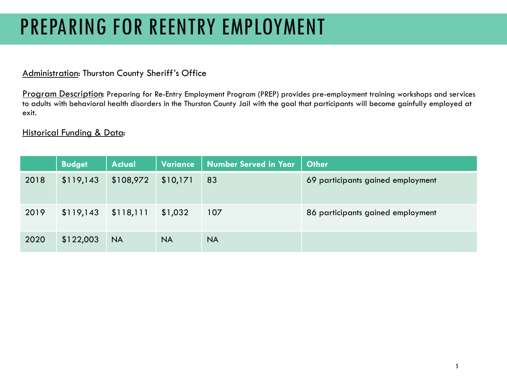## PREPARING FOR REENTRY EMPLOYMENT

### Administration: Thurston County Sheriff's Office

Program Description: Preparing for Re-Entry Employment Program (PREP) provides pre-employment training workshops and services to adults with behavioral health disorders in the Thurston County Jail with the goal that participants will become gainfully employed at exit.

|      | <b>Budget</b> | <b>Actual</b> | <b>Variance</b> | <b>Number Served in Year</b> | <b>Other</b>                      |
|------|---------------|---------------|-----------------|------------------------------|-----------------------------------|
| 2018 | \$119,143     | \$108,972     | \$10,171        | 83                           | 69 participants gained employment |
| 2019 | \$119,143     | \$118,111     | \$1,032         | 107                          | 86 participants gained employment |
| 2020 | \$122,003     | <b>NA</b>     | <b>NA</b>       | <b>NA</b>                    |                                   |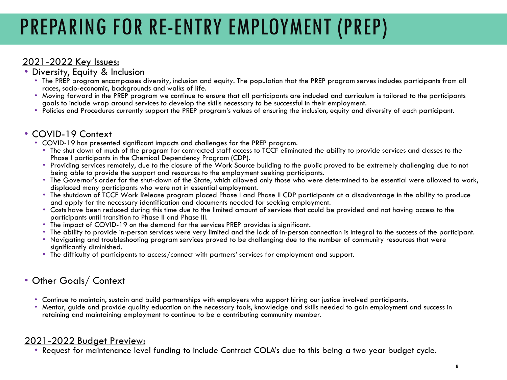# PREPARING FOR RE-ENTRY EMPLOYMENT (PREP)

- 2021-2022 Key Issues: Diversity, Equity & Inclusion
	- The PREP program encompasses diversity, inclusion and equity. The population that the PREP program serves includes participants from all
	- races, socio-economic, backgrounds and walks of life.<br>• Moving forward in the PREP program we continue to ensure that all participants are included and curriculum is tailored to the participants<br>• goals to include wrap aro
	- Policies and Procedures currently support the PREP program's values of ensuring the inclusion, equity and diversity of each participant.

- 
- COVID-19 Context<br>• COVID-19 has presented significant impacts and challenges for the PREP program.<br>• The shut down of much of the program for contracted staff access to TCCF eliminated the ability to provide services and
	- Providing services remotely, due to the closure of the Work Source building to the public proved to be extremely challenging due to not
	- being able to provide the support and resources to the employment seeking participants.<br>• The Governor's order for the shut-down of the State, which allowed only those who were determined to be essential were allowed to wo
	- The shutdown of TCCF Work Release program placed Phase I and Phase II CDP participants at a disadvantage in the ability to produce<br>and apply for the necessary identification and documents needed for seeking employment.
	- Costs have been reduced during this time due to the limited amount of services that could be provided and not having access to the participants until transition to Phase II and Phase III.
	-
	-
	- The impact of COVID-19 on the demand for the services PREP provides is significant.<br>• The ability to provide in-person services were very limited and the lack of in-person connection is integral to the success of the par
	- The difficulty of participants to access/connect with partners' services for employment and support.

## • Other Goals/ Context

- 
- Continue to maintain, sustain and build partnerships with employers who support hiring our justice involved participants.<br>• Mentor, quide and provide quality education on the necessary tools, knowledge and skills needed to retaining and maintaining employment to continue to be a contributing community member.

2021-2022 Budget Preview: • Request for maintenance level funding to include Contract COLA's due to this being a two year budget cycle.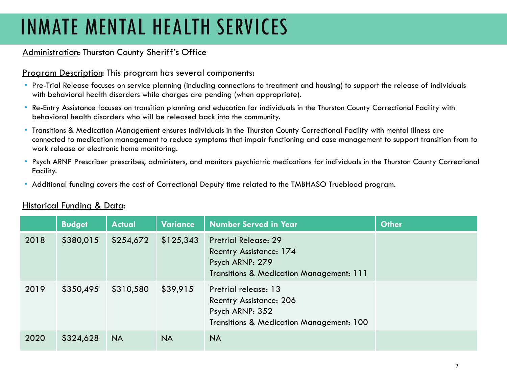# INMATE MENTAL HEALTH SERVICES

## Administration: Thurston County Sheriff's Office

### Program Description: This program has several components:

- Pre-Trial Release focuses on service planning (including connections to treatment and housing) to support the release of individuals with behavioral health disorders while charges are pending (when appropriate).
- Re-Entry Assistance focuses on transition planning and education for individuals in the Thurston County Correctional Facility with behavioral health disorders who will be released back into the community.
- Transitions & Medication Management ensures individuals in the Thurston County Correctional Facility with mental illness are connected to medication management to reduce symptoms that impair functioning and case management to support transition from to work release or electronic home monitoring.
- Psych ARNP Prescriber prescribes, administers, and monitors psychiatric medications for individuals in the Thurston County Correctional Facility.
- Additional funding covers the cost of Correctional Deputy time related to the TMBHASO Trueblood program.

|      | <b>Budget</b> | <b>Actual</b> | Variance  | <b>Number Served in Year</b>                                                                                          | <b>Other</b> |
|------|---------------|---------------|-----------|-----------------------------------------------------------------------------------------------------------------------|--------------|
| 2018 | \$380,015     | \$254,672     | \$125,343 | <b>Pretrial Release: 29</b><br>Reentry Assistance: 174<br>Psych ARNP: 279<br>Transitions & Medication Management: 111 |              |
| 2019 | \$350,495     | \$310,580     | \$39,915  | Pretrial release: 13<br><b>Reentry Assistance: 206</b><br>Psych ARNP: 352<br>Transitions & Medication Management: 100 |              |
| 2020 | \$324,628     | <b>NA</b>     | <b>NA</b> | <b>NA</b>                                                                                                             |              |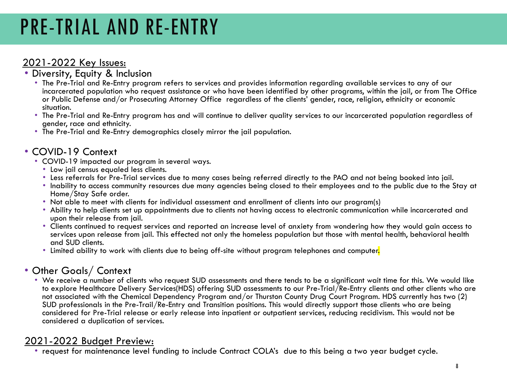# PRE-TRIAL AND RE-ENTRY

- 2021-2022 Key Issues: Diversity, Equity & Inclusion
	- The Pre-Trial and Re-Entry program refers to services and provides information regarding available services to any of our incarcerated population who request assistance or who have been identified by other programs, within the jail, or from The Office or Public Defense and/or Prosecuting Attorney Office regardless of the clients' gender, race, religion, ethnicity or economic situation.
	- The Pre-Trial and Re-Entry program has and will continue to deliver quality services to our incarcerated population regardless of gender, race and ethnicity.
	- The Pre-Trial and Re-Entry demographics closely mirror the jail population.

- -
- COVID-19 Context<br>• COVID-19 impacted our program in several ways.<br>• Low jail census equaled less clients.<br>• Less referrals for Pre-Trial services due to many cases being referred directly to the PAO and not being booked
	- Inability to access community resources due many agencies being closed to their employees and to the public due to the Stay at Home/Stay Safe order.
	- Not able to meet with clients for individual assessment and enrollment of clients into our program(s)
	- Ability to help clients set up appointments due to clients not having access to electronic communication while incarcerated and upon their release from jail.
	- Clients continued to request services and reported an increase level of anxiety from wondering how they would gain access to services upon release from jail. This effected not only the homeless population but those with mental health, behavioral health and SUD clients.
	- Limited ability to work with clients due to being off-site without program telephones and computer.

## • Other Goals/ Context

• We receive a number of clients who request SUD assessments and there tends to be a significant wait time for this. We would like to explore Healthcare Delivery Services(HDS) offering SUD assessments to our Pre-Trial/Re-Entry clients and other clients who are not associated with the Chemical Dependency Program and/or Thurston County Drug Court Program. HDS currently has two (2) SUD professionals in the Pre-Trail/Re-Entry and Transition positions. This would directly support those clients who are being considered for Pre-Trial release or early release into inpatient or outpatient services, reducing recidivism. This would not be considered a duplication of services.

2021-2022 Budget Preview: • request for maintenance level funding to include Contract COLA's due to this being a two year budget cycle.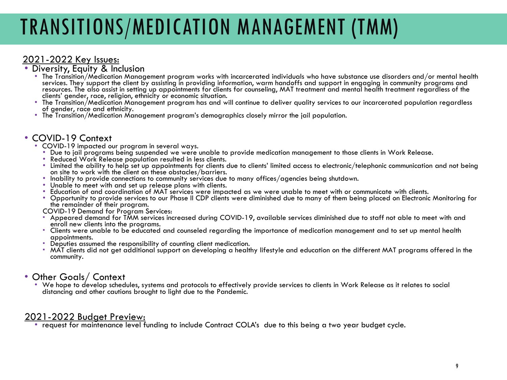# TRANSITIONS/MEDICATION MANAGEMENT (TMM)

## 2021-2022 Key Issues:<br>• Diversity, Equity & Inclusion

- The Transition/Medication Management program works with incarcerated individuals who have substance use disorders and/or mental health services. They support the client by assisting in providing information, warm handoffs and support in engaging in community programs and resources. The also assist in setting up appointments for clients for counseling, MAT treatment and mental health treatment regardless of the<br>clients' gender, race, religion, ethnicity or economic situation.
- The Transition/Medication Management program has and will continue to deliver quality services to our incarcerated population regardless<br>of gender, race and ethnicity.
- The Transition/Medication Management program's demographics closely mirror the jail population.

- -
	-
- COVID-19 Context<br>• COVID-19 impacted our program in several ways.<br>• Due to jail programs being suspended we were unable to provide medication management to those clients in Work Release.<br>• Reluced Work Release population
	-
	-
	-
	- Opportunity to provide services to our Phase II CDP clients were diminished due to many of them being placed on Electronic Monitoring for<br>the remainder of their program.<br>COVID-19 Demand for Program Services:

- Appeared demand for TMM services increased during COVID-19, available services diminished due to staff not able to meet with and<br>enroll new clients into the programs.
- Clients were unable to be educated and counseled regarding the importance of medication management and to set up mental health<br>appointments.
- 
- Deputies assumed the responsibility of counting client medication.<br>• MAT clients did not get additional support on developing a healthy lifestyle and education on the different MAT programs offered in the community.

## • Other Goals/ Context

• We hope to develop schedules, systems and protocols to effectively provide services to clients in Work Release as it relates to social distancing and other cautions brought to light due to the Pandemic.

2021-2022 Budget Preview: • request for maintenance level funding to include Contract COLA's due to this being a two year budget cycle.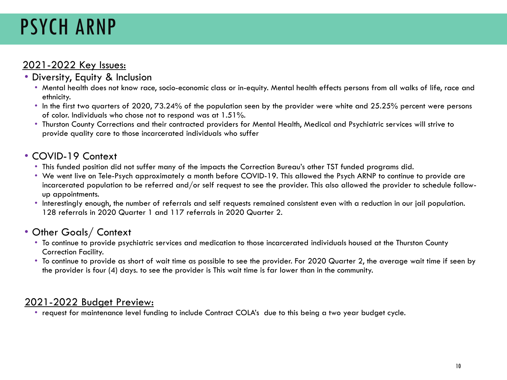# PSYCH ARNP

## 2021-2022 Key Issues:

## • Diversity, Equity & Inclusion

- Mental health does not know race, socio-economic class or in-equity. Mental health effects persons from all walks of life, race and ethnicity.
- In the first two quarters of 2020, 73.24% of the population seen by the provider were white and 25.25% percent were persons of color. Individuals who chose not to respond was at 1.51%.
- Thurston County Corrections and their contracted providers for Mental Health, Medical and Psychiatric services will strive to provide quality care to those incarcerated individuals who suffer

## • COVID-19 Context

- This funded position did not suffer many of the impacts the Correction Bureau's other TST funded programs did.
- We went live on Tele-Psych approximately a month before COVID-19. This allowed the Psych ARNP to continue to provide are incarcerated population to be referred and/or self request to see the provider. This also allowed the provider to schedule followup appointments.
- Interestingly enough, the number of referrals and self requests remained consistent even with a reduction in our jail population. 128 referrals in 2020 Quarter 1 and 117 referrals in 2020 Quarter 2.

## • Other Goals/ Context

- To continue to provide psychiatric services and medication to those incarcerated individuals housed at the Thurston County Correction Facility.
- To continue to provide as short of wait time as possible to see the provider. For 2020 Quarter 2, the average wait time if seen by the provider is four (4) days. to see the provider is This wait time is far lower than in the community.

## 2021-2022 Budget Preview:

• request for maintenance level funding to include Contract COLA's due to this being a two year budget cycle.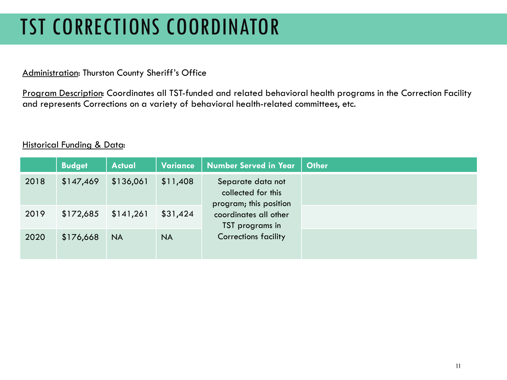# TST CORRECTIONS COORDINATOR

### Administration: Thurston County Sheriff's Office

Program Description: Coordinates all TST-funded and related behavioral health programs in the Correction Facility and represents Corrections on a variety of behavioral health-related committees, etc.

|      | <b>Budget</b> | <b>Actual</b> | <b>Variance</b> | <b>Number Served in Year</b>                                      |
|------|---------------|---------------|-----------------|-------------------------------------------------------------------|
| 2018 | \$147,469     | \$136,061     | \$11,408        | Separate data not<br>collected for this<br>program; this position |
| 2019 | \$172,685     | \$141,261     | \$31,424        | coordinates all other<br>TST programs in                          |
| 2020 | \$176,668     | <b>NA</b>     | <b>NA</b>       | <b>Corrections facility</b>                                       |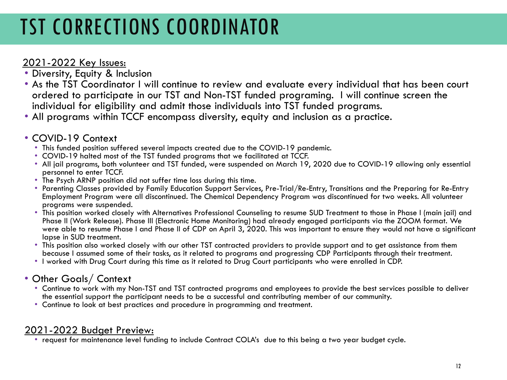# TST CORRECTIONS COORDINATOR

- 2021-2022 Key Issues: Diversity, Equity & Inclusion
- As the TST Coordinator I will continue to review and evaluate every individual that has been court ordered to participate in our TST and Non-TST funded programing. I will continue screen the individual for eligibility and admit those individuals into TST funded programs.
- All programs within TCCF encompass diversity, equity and inclusion as a practice.

- 
- 
- COVID-19 Context<br>• This funded position suffered several impacts created due to the COVID-19 pandemic.<br>• COVID-19 halted most of the TST funded programs that we facilitated at TCCF.<br>• All jail programs, both volunteer an personnel to enter TCCF.
	- The Psych ARNP position did not suffer time loss during this time.
	- Parenting Classes provided by Family Education Support Services, Pre-Trial/Re-Entry, Transitions and the Preparing for Re-Entry Employment Program were all discontinued. The Chemical Dependency Program was discontinued for two weeks. All volunteer programs were suspended.
	- This position worked closely with Alternatives Professional Counseling to resume SUD Treatment to those in Phase I (main jail) and Phase II (Work Release). Phase III (Electronic Home Monitoring) had already engaged participants via the ZOOM format. We were able to resume Phase I and Phase II of CDP on April 3, 2020. This was important to ensure they would not have a significant lapse in SUD treatment.
	- This position also worked closely with our other TST contracted providers to provide support and to get assistance from them because I assumed some of their tasks, as it related to programs and progressing CDP Participants through their treatment.
	- I worked with Drug Court during this time as it related to Drug Court participants who were enrolled in CDP.

## • Other Goals/ Context

- Continue to work with my Non-TST and TST contracted programs and employees to provide the best services possible to deliver the essential support the participant needs to be a successful and contributing member of our community.
- Continue to look at best practices and procedure in programming and treatment.

2021-2022 Budget Preview: • request for maintenance level funding to include Contract COLA's due to this being a two year budget cycle.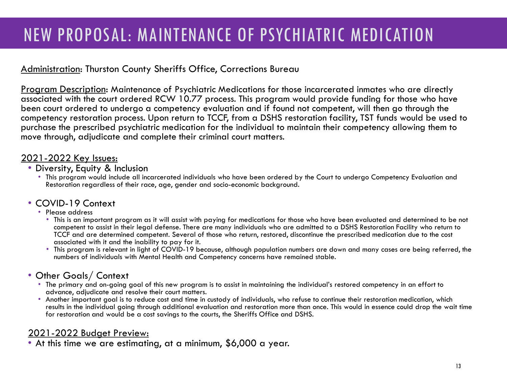## NEW PROPOSAL: MAINTENANCE OF PSYCHIATRIC MEDICATION

## Administration: Thurston County Sheriffs Office, Corrections Bureau

Program Description: Maintenance of Psychiatric Medications for those incarcerated inmates who are directly associated with the court ordered RCW 10.77 process. This program would provide funding for those who have been court ordered to undergo a competency evaluation and if found not competent, will then go through the competency restoration process. Upon return to TCCF, from a DSHS restoration facility, TST funds would be used to purchase the prescribed psychiatric medication for the individual to maintain their competency allowing them to move through, adjudicate and complete their criminal court matters.

- 2021-2022 Key Issues: Diversity, Equity & Inclusion
	- This program would include all incarcerated individuals who have been ordered by the Court to undergo Competency Evaluation and Restoration regardless of their race, age, gender and socio-economic background.

## • COVID-19 Context<br>• Please address

- - This is an important program as it will assist with paying for medications for those who have been evaluated and determined to be not competent to assist in their legal defense. There are many individuals who are admitted to a DSHS Restoration Facility who return to TCCF and are determined competent. Several of those who return, restored, discontinue the prescribed medication due to the cost associated with it and the inability to pay for it.
	- This program is relevant in light of COVID-19 because, although population numbers are down and many cases are being referred, the numbers of individuals with Mental Health and Competency concerns have remained stable.

## • Other Goals/ Context

- The primary and on-going goal of this new program is to assist in maintaining the individual's restored competency in an effort to
- Another important goal is to reduce cost and time in custody of individuals, who refuse to continue their restoration medication, which results in the individual going through additional evaluation and restoration more than once. This would in essence could drop the wait time for restoration and would be a cost savings to the courts, the Sheriffs Office and DSHS.

2021-2022 Budget Preview: • At this time we are estimating, at a minimum, \$6,000 a year.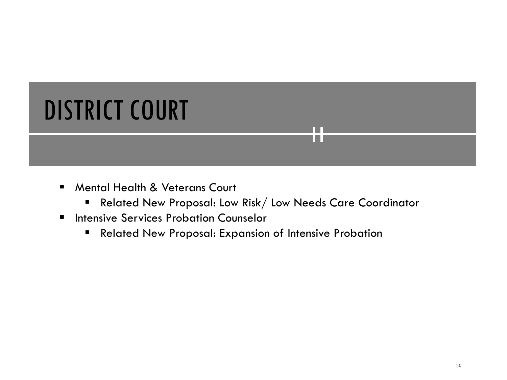# DISTRICT COURT

- **Mental Health & Veterans Court** 
	- Related New Proposal: Low Risk/ Low Needs Care Coordinator

**Tara** 

- **Intensive Services Probation Counselor** 
	- **Related New Proposal: Expansion of Intensive Probation**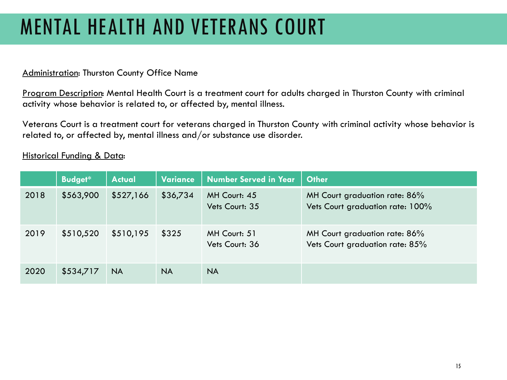# MENTAL HEALTH AND VETERANS COURT

### Administration: Thurston County Office Name

Program Description: Mental Health Court is a treatment court for adults charged in Thurston County with criminal activity whose behavior is related to, or affected by, mental illness.

Veterans Court is a treatment court for veterans charged in Thurston County with criminal activity whose behavior is related to, or affected by, mental illness and/or substance use disorder.

|      | <b>Budget*</b> | <b>Actual</b> | <b>Variance</b> | <b>Number Served in Year</b>   | <b>Other</b>                                                      |
|------|----------------|---------------|-----------------|--------------------------------|-------------------------------------------------------------------|
| 2018 | \$563,900      | \$527,166     | \$36,734        | MH Court: 45<br>Vets Court: 35 | MH Court graduation rate: 86%<br>Vets Court graduation rate: 100% |
| 2019 | \$510,520      | \$510,195     | \$325           | MH Court: 51<br>Vets Court: 36 | MH Court graduation rate: 86%<br>Vets Court graduation rate: 85%  |
| 2020 | \$534,717      | NA.           | NA.             | NA.                            |                                                                   |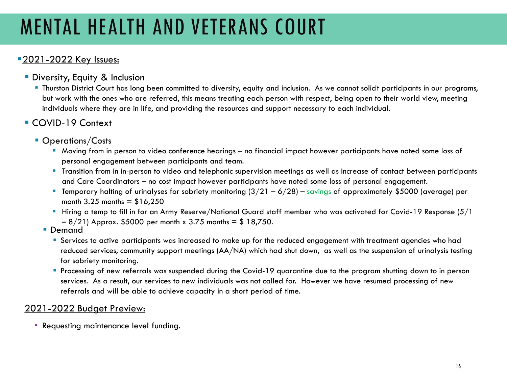# MENTAL HEALTH AND VETERANS COURT

## **2021-2022 Key Issues:**

- **Diversity, Equity & Inclusion** 
	- Thurston District Court has long been committed to diversity, equity and inclusion. As we cannot solicit participants in our programs, but work with the ones who are referred, this means treating each person with respect, being open to their world view, meeting individuals where they are in life, and providing the resources and support necessary to each individual.
- COVID-19 Context
	- **Operations/Costs** 
		- Moving from in person to video conference hearings no financial impact however participants have noted some loss of personal engagement between participants and team.
		- **Transition from in in-person to video and telephonic supervision meetings as well as increase of contact between participants** and Care Coordinators – no cost impact however participants have noted some loss of personal engagement.
		- **Temporary halting of urinalyses for sobriety monitoring**  $(3/21 6/28)$  **savings of approximately \$5000 (average) per** month  $3.25$  months =  $$16,250$
		- Hiring a temp to fill in for an Army Reserve/National Guard staff member who was activated for Covid-19 Response  $(5/1)$  $-8/21$ ) Approx. \$5000 per month x 3.75 months = \$ 18,750.<br>
		Demand
		- - Services to active participants was increased to make up for the reduced engagement with treatment agencies who had reduced services, community support meetings (AA/NA) which had shut down, as well as the suspension of urinalysis testing for sobriety monitoring.
			- Processing of new referrals was suspended during the Covid-19 quarantine due to the program shutting down to in person services. As a result, our services to new individuals was not called for. However we have resumed processing of new referrals and will be able to achieve capacity in a short period of time.

## 2021-2022 Budget Preview:

• Requesting maintenance level funding.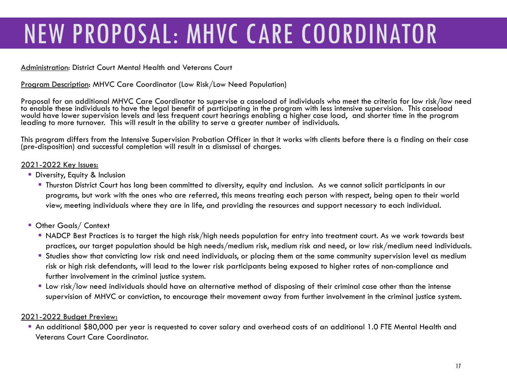# NEW PROPOSAL: MHVC CARE COORDINATOR

### Administration: District Court Mental Health and Veterans Court

### Program Description: MHVC Care Coordinator (Low Risk/Low Need Population)

Proposal for an additional MHVC Care Coordinator to supervise a caseload of individuals who meet the criteria for low risk/low need to enable these individuals to have the legal benefit of participating in the program with less intensive supervision. This caseload would have lower supervision levels and less frequent court hearings enabling a higher case load, and shorter time in the program leading to more turnover. This will result in the ability to serve a greater number of individuals.

This program differs from the Intensive Supervision Probation Officer in that it works with clients before there is a finding on their case (pre-disposition) and successful completion will result in a dismissal of charges.

### 2021-2022 Key Issues:

- **Diversity, Equity & Inclusion** 
	- Thurston District Court has long been committed to diversity, equity and inclusion. As we cannot solicit participants in our programs, but work with the ones who are referred, this means treating each person with respect, being open to their world view, meeting individuals where they are in life, and providing the resources and support necessary to each individual.
- **Other Goals/ Context** 
	- NADCP Best Practices is to target the high risk/high needs population for entry into treatment court. As we work towards best practices, our target population should be high needs/medium risk, medium risk and need, or low risk/medium need individuals.
	- Studies show that convicting low risk and need individuals, or placing them at the same community supervision level as medium risk or high risk defendants, will lead to the lower risk participants being exposed to higher rates of non-compliance and further involvement in the criminal justice system.
	- Low risk/low need individuals should have an alternative method of disposing of their criminal case other than the intense supervision of MHVC or conviction, to encourage their movement away from further involvement in the criminal justice system.

### 2021-2022 Budget Preview:

 An additional \$80,000 per year is requested to cover salary and overhead costs of an additional 1.0 FTE Mental Health and Veterans Court Care Coordinator.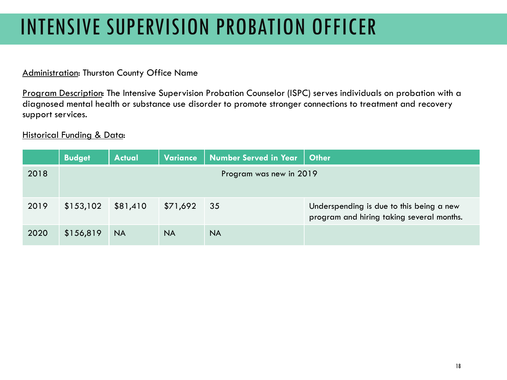# INTENSIVE SUPERVISION PROBATION OFFICER

### Administration: Thurston County Office Name

Program Description: The Intensive Supervision Probation Counselor (ISPC) serves individuals on probation with a diagnosed mental health or substance use disorder to promote stronger connections to treatment and recovery support services.

|      | <b>Budget</b> | <b>Actual</b> | Variance  | Number Served in Year   | <b>Other</b>                                                                          |
|------|---------------|---------------|-----------|-------------------------|---------------------------------------------------------------------------------------|
| 2018 |               |               |           | Program was new in 2019 |                                                                                       |
| 2019 | \$153,102     | \$81,410      | \$71,692  | 35                      | Underspending is due to this being a new<br>program and hiring taking several months. |
| 2020 | \$156,819     | <b>NA</b>     | <b>NA</b> | <b>NA</b>               |                                                                                       |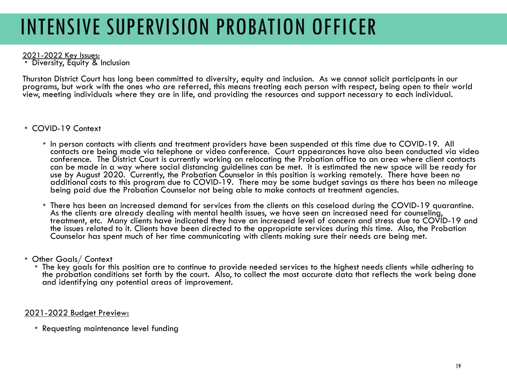# INTENSIVE SUPERVISION PROBATION OFFICER

2021-2022 Key Issues:<br>• Diversity, Equity & Inclusion

Thurston District Court has long been committed to diversity, equity and inclusion. As we cannot solicit participants in our programs, but work with the ones who are referred, this means treating each person with respect, being open to their world view, meeting individuals where they are in life, and providing the resources and support necessary to each individual.

- COVID-19 Context
	- In person contacts with clients and treatment providers have been suspended at this time due to COVID-19. All contacts are being made via telephone or video conference. Court appearances have also been conducted via video conference. The District Court is currently working on relocating the Probation office to an area where client contacts can be made in a way where social distancing guidelines can be met. It is estimated the new space will be ready for use by August 2020. Currently, the Probation Counselor in this position is working remotely. There have been no additional costs to this program due to COVID-19. There may be some budget savings as there has been no mileage being paid due the Probation Counselor not being able to make contacts at treatment agencies.
	- There has been an increased demand for services from the clients on this caseload during the COVID-19 quarantine. As the clients are already dealing with mental health issues, we have seen an increased need for counseling, treatment, etc. Many clients have indicated they have an increased level of concern and stress due to COVID-19 and the issues related to it. Clients have been directed to the appropriate services during this time. Also, the Probation Counselor has spent much of her time communicating with clients making sure their needs are being met.
- Other Goals/ Context
	- The key goals for this position are to continue to provide needed services to the highest needs clients while adhering to the probation conditions set forth by the court. Also, to collect the most accurate data that reflects the work being done and identifying any potential areas of improvement.

2021-2022 Budget Preview:

• Requesting maintenance level funding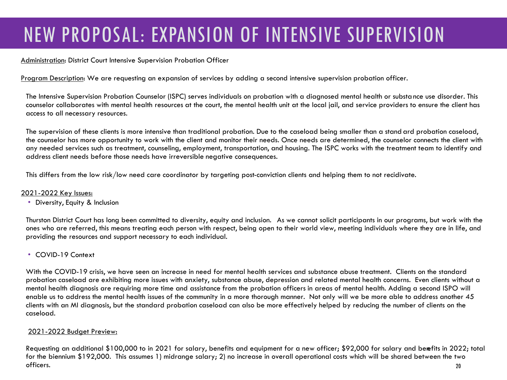## NEW PROPOSAL: EXPANSION OF INTENSIVE SUPERVISION

### Administration: District Court Intensive Supervision Probation Officer

Program Description: We are requesting an expansion of services by adding a second intensive supervision probation officer.

The Intensive Supervision Probation Counselor (ISPC) serves individuals on probation with a diagnosed mental health or substa nce use disorder. This counselor collaborates with mental health resources at the court, the mental health unit at the local jail, and service providers to ensure the client has access to all necessary resources.

The supervision of these clients is more intensive than traditional probation. Due to the caseload being smaller than a stand ard probation caseload, the counselor has more opportunity to work with the client and monitor their needs. Once needs are determined, the counselor connects the client with any needed services such as treatment, counseling, employment, transportation, and housing. The ISPC works with the treatment team to identify and address client needs before those needs have irreversible negative consequences.

This differs from the low risk/low need care coordinator by targeting post-conviction clients and helping them to not recidivate.

### 2021-2022 Key Issues:

• Diversity, Equity & Inclusion

Thurston District Court has long been committed to diversity, equity and inclusion. As we cannot solicit participants in our programs, but work with the ones who are referred, this means treating each person with respect, being open to their world view, meeting individuals where they are in life, and providing the resources and support necessary to each individual.

• COVID-19 Context

With the COVID-19 crisis, we have seen an increase in need for mental health services and substance abuse treatment. Clients on the standard probation caseload are exhibiting more issues with anxiety, substance abuse, depression and related mental health concerns. Even clients without a mental health diagnosis are requiring more time and assistance from the probation officers in areas of mental health. Adding a second ISPO will enable us to address the mental health issues of the community in a more thorough manner. Not only will we be more able to address another 45 clients with an MI diagnosis, but the standard probation caseload can also be more effectively helped by reducing the number of clients on the caseload.

### 2021-2022 Budget Preview:

Requesting an additional \$100,000 to in 2021 for salary, benefits and equipment for a new officer; \$92,000 for salary and benefits in 2022; total for the biennium \$192,000. This assumes 1) midrange salary; 2) no increase in overall operational costs which will be shared between the two officers. 20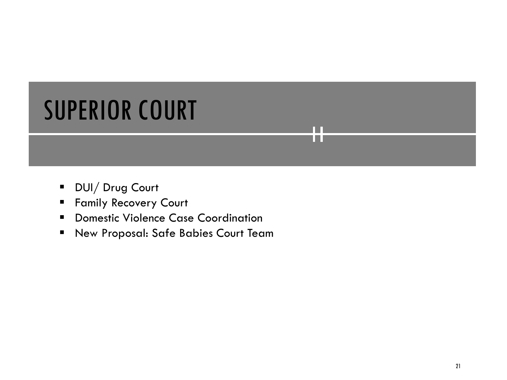# SUPERIOR COURT

- **DUI**/ Drug Court
- **Family Recovery Court**
- **Domestic Violence Case Coordination**
- New Proposal: Safe Babies Court Team

**TER** m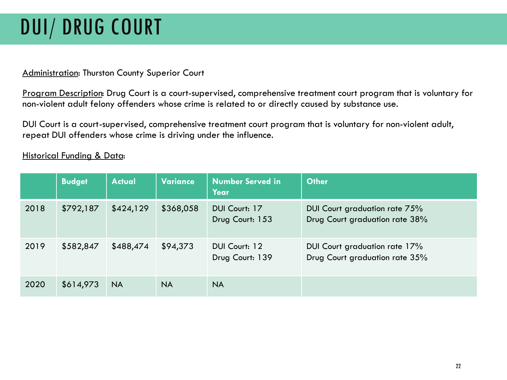# DUI/ DRUG COURT

## Administration: Thurston County Superior Court

Program Description: Drug Court is a court-supervised, comprehensive treatment court program that is voluntary for non-violent adult felony offenders whose crime is related to or directly caused by substance use.

DUI Court is a court-supervised, comprehensive treatment court program that is voluntary for non-violent adult, repeat DUI offenders whose crime is driving under the influence.

|      | <b>Budget</b> | <b>Actual</b> | <b>Variance</b> | <b>Number Served in</b><br>Year  | <b>Other</b>                                                    |
|------|---------------|---------------|-----------------|----------------------------------|-----------------------------------------------------------------|
| 2018 | \$792,187     | \$424,129     | \$368,058       | DUI Court: 17<br>Drug Court: 153 | DUI Court graduation rate 75%<br>Drug Court graduation rate 38% |
| 2019 | \$582,847     | \$488,474     | \$94,373        | DUI Court: 12<br>Drug Court: 139 | DUI Court graduation rate 17%<br>Drug Court graduation rate 35% |
| 2020 | \$614,973     | NA.           | <b>NA</b>       | <b>NA</b>                        |                                                                 |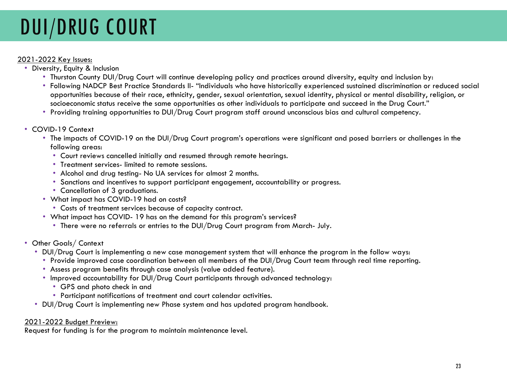# DUI/DRUG COURT

### 2021-2022 Key Issues:

- Diversity, Equity & Inclusion
	- Thurston County DUI/Drug Court will continue developing policy and practices around diversity, equity and inclusion by:
	- Following NADCP Best Practice Standards II- "Individuals who have historically experienced sustained discrimination or reduced social opportunities because of their race, ethnicity, gender, sexual orientation, sexual identity, physical or mental disability, religion, or socioeconomic status receive the same opportunities as other individuals to participate and succeed in the Drug Court."
	- Providing training opportunities to DUI/Drug Court program staff around unconscious bias and cultural competency.
- COVID-19 Context
	- The impacts of COVID-19 on the DUI/Drug Court program's operations were significant and posed barriers or challenges in the following areas:
		- Court reviews cancelled initially and resumed through remote hearings.
		- Treatment services- limited to remote sessions.
		- Alcohol and drug testing- No UA services for almost 2 months.
		- Sanctions and incentives to support participant engagement, accountability or progress.
		- Cancellation of 3 graduations.
	- What impact has COVID-19 had on costs?
		- Costs of treatment services because of capacity contract.
	- What impact has COVID- 19 has on the demand for this program's services?
		- There were no referrals or entries to the DUI/Drug Court program from March- July.
- Other Goals/ Context
	- DUI/Drug Court is implementing a new case management system that will enhance the program in the follow ways:
		- Provide improved case coordination between all members of the DUI/Drug Court team through real time reporting.
		- Assess program benefits through case analysis (value added feature).
		- Improved accountability for DUI/Drug Court participants through advanced technology:
			- GPS and photo check in and
			- Participant notifications of treatment and court calendar activities.
	- DUI/Drug Court is implementing new Phase system and has updated program handbook.

### 2021-2022 Budget Preview:

Request for funding is for the program to maintain maintenance level.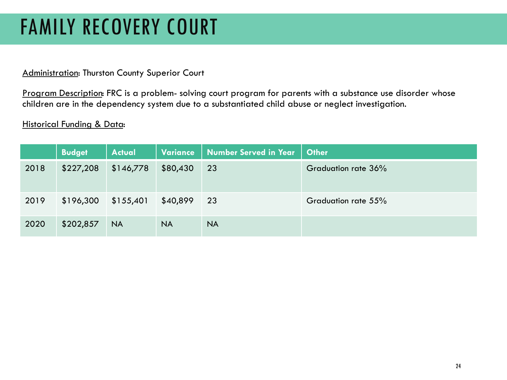## FAMILY RECOVERY COURT

### Administration: Thurston County Superior Court

Program Description: FRC is a problem- solving court program for parents with a substance use disorder whose children are in the dependency system due to a substantiated child abuse or neglect investigation.

|      | <b>Budget</b> | <b>Actual</b> | <b>Variance</b> | Number Served in Year | <b>Other</b>        |
|------|---------------|---------------|-----------------|-----------------------|---------------------|
| 2018 | \$227,208     | \$146,778     | \$80,430        | 23                    | Graduation rate 36% |
| 2019 | \$196,300     | \$155,401     | \$40,899        | 23                    | Graduation rate 55% |
| 2020 | \$202,857     | <b>NA</b>     | <b>NA</b>       | <b>NA</b>             |                     |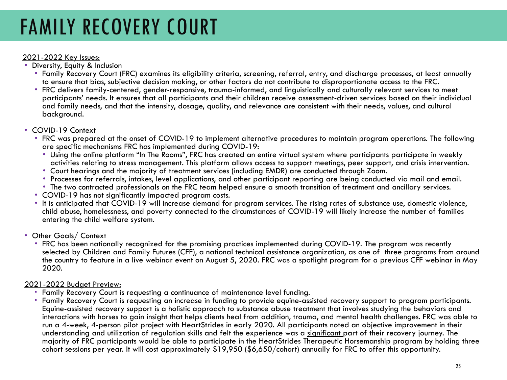## FAMILY RECOVERY COURT

- 2021-2022 Key Issues: Diversity, Equity & Inclusion
	- Family Recovery Court (FRC) examines its eligibility criteria, screening, referral, entry, and discharge processes, at least annually to ensure that bias, subjective decision making, or other factors do not contribute to disproportionate access to the FRC.
	- FRC delivers family-centered, gender-responsive, trauma-informed, and linguistically and culturally relevant services to meet participants' needs. It ensures that all participants and their children receive assessment-driven services based on their individual and family needs, and that the intensity, dosage, quality, and relevance are consistent with their needs, values, and cultural background.

- COVID-19 Context<br>• FRC was prepared at the onset of COVID-19 to implement alternative procedures to maintain program operations. The following<br>are specific mechanisms FRC has implemented during COVID-19:
	- Using the online platform "In The Rooms", FRC has created an entire virtual system where participants participate in weekly activities relating to stress management. This platform allows access to support meetings, peer support, and crisis intervention.<br>• Court hearings and the majority of treatment services (including EMDR) are conducted throu
	-
	- Processes for referrals, intakes, level applications, and other participant reporting are being conducted via mail and email.<br>• The two contracted professionals on the FRC team helped ensure a smooth transition of treatm
	-
	-
	- COVID-19 has not significantly impacted program costs.<br>• It is anticipated that COVID-19 will increase demand for program services. The rising rates of substance use, domestic violence, child abuse, homelessness, and poverty connected to the circumstances of COVID-19 will likely increase the number of families entering the child welfare system.

### • Other Goals/ Context

• FRC has been nationally recognized for the promising practices implemented during COVID-19. The program was recently selected by Children and Family Futures (CFF), a national technical assistance organization, as one of three programs from around the country to feature in a live webinar event on August 5, 2020. FRC was a spotlight program for a previous CFF webinar in May 2020.

- 2021-2022 Budget Preview: Family Recovery Court is requesting a continuance of maintenance level funding.
	- Family Recovery Court is requesting an increase in funding to provide equine-assisted recovery support to program participants. Equine-assisted recovery support is a holistic approach to substance abuse treatment that involves studying the behaviors and interactions with horses to gain insight that helps clients heal from addition, trauma, and mental health challenges. FRC was able to run a 4-week, 4-person pilot project with HeartStrides in early 2020. All participants noted an objective improvement in their understanding and utilization of regulation skills and felt the experience was a significant part of their recovery journey. The majority of FRC participants would be able to participate in the HeartStrides Therapeutic Horsemanship program by holding three cohort sessions per year. It will cost approximately \$19,950 (\$6,650/cohort) annually for FRC to offer this opportunity.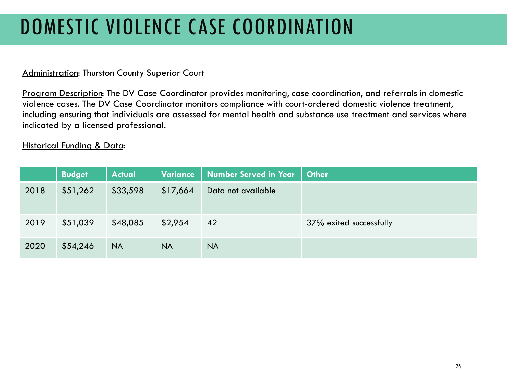# DOMESTIC VIOLENCE CASE COORDINATION

## **Administration: Thurston County Superior Court**

Program Description: The DV Case Coordinator provides monitoring, case coordination, and referrals in domestic violence cases. The DV Case Coordinator monitors compliance with court-ordered domestic violence treatment, including ensuring that individuals are assessed for mental health and substance use treatment and services where indicated by a licensed professional.

|      | <b>Budget</b> | <b>Actual</b> | <b>Variance</b> | Number Served in Year | <b>Other</b>            |
|------|---------------|---------------|-----------------|-----------------------|-------------------------|
| 2018 | \$51,262      | \$33,598      | \$17,664        | Data not available    |                         |
| 2019 | \$51,039      | \$48,085      | \$2,954         | 42                    | 37% exited successfully |
| 2020 | \$54,246      | <b>NA</b>     | <b>NA</b>       | <b>NA</b>             |                         |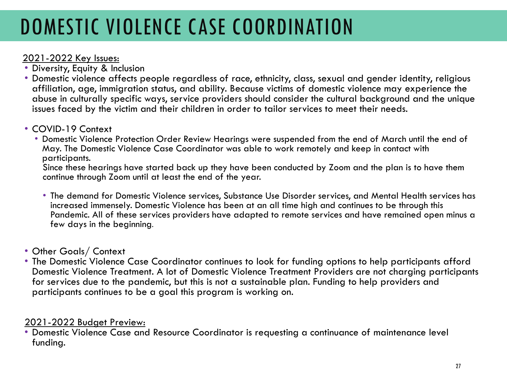# DOMESTIC VIOLENCE CASE COORDINATION

- 2021-2022 Key Issues:<br>• Diversity, Equity & Inclusion
- Domestic violence affects people regardless of race, ethnicity, class, sexual and gender identity, religious affiliation, age, immigration status, and ability. Because victims of domestic violence may experience the abuse in culturally specific ways, service providers should consider the cultural background and the unique issues faced by the victim and their children in order to tailor services to meet their needs.
- 
- COVID-19 Context Domestic Violence Protection Order Review Hearings were suspended from the end of March until the end of May. The Domestic Violence Case Coordinator was able to work remotely and keep in contact with participants.

Since these hearings have started back up they have been conducted by Zoom and the plan is to have them continue through Zoom until at least the end of the year.

- The demand for Domestic Violence services, Substance Use Disorder services, and Mental Health services has increased immensely. Domestic Violence has been at an all time high and continues to be through this Pandemic. All of these services providers have adapted to remote services and have remained open minus a few days in the beginning.
- Other Goals/ Context
- The Domestic Violence Case Coordinator continues to look for funding options to help participants afford Domestic Violence Treatment. A lot of Domestic Violence Treatment Providers are not charging participants for services due to the pandemic, but this is not a sustainable plan. Funding to help providers and participants continues to be a goal this program is working on.

2021-2022 Budget Preview:<br>• Domestic Violence Case and Resource Coordinator is requesting a continuance of maintenance level funding.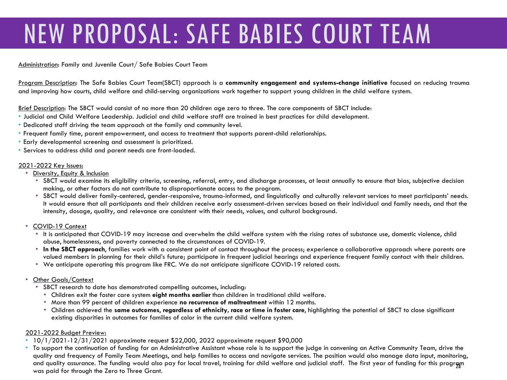# NEW PROPOSAL: SAFE BABIES COURT TEAM

Administration: Family and Juvenile Court/ Safe Babies Court Team

Program Description: The Safe Babies Court Team(SBCT) approach is a **community engagement and systems-change initiative** focused on reducing trauma and improving how courts, child welfare and child-serving organizations work together to support young children in the child welfare system.

Brief Description: The SBCT would consist of no more than 20 children age zero to three. The core components of SBCT include:

- Judicial and Child Welfare Leadership. Judicial and child welfare staff are trained in best practices for child development.
- Dedicated staff driving the team approach at the family and community level.
- Frequent family time, parent empowerment, and access to treatment that supports parent-child relationships.
- Early developmental screening and assessment is prioritized.
- Services to address child and parent needs are front-loaded.

### 2021-2022 Key Issues:

- Diversity, Equity & Inclusion
	- SBCT would examine its eligibility criteria, screening, referral, entry, and discharge processes, at least annually to ensure that bias, subjective decision making, or other factors do not contribute to disproportionate access to the program.
	- SBCT would deliver family-centered, gender-responsive, trauma-informed, and linguistically and culturally relevant services to meet participants' needs. It would ensure that all participants and their children receive early assessment-driven services based on their individual and family needs, and that the intensity, dosage, quality, and relevance are consistent with their needs, values, and cultural background.
- COVID-19 Context
	- It is anticipated that COVID-19 may increase and overwhelm the child welfare system with the rising rates of substance use, domestic violence, child abuse, homelessness, and poverty connected to the circumstances of COVID-19.
	- **In the SBCT approach**, families work with a consistent point of contact throughout the process; experience a collaborative approach where parents are valued members in planning for their child's future; participate in frequent judicial hearings and experience frequent family contact with their children.
	- We anticipate operating this program like FRC. We do not anticipate significate COVID-19 related costs.
- Other Goals/Context
	- SBCT research to date has demonstrated compelling outcomes, including:
		- Children exit the foster care system **eight months earlier** than children in traditional child welfare.
		- More than 99 percent of children experience **no recurrence of maltreatment** within 12 months.
		- Children achieved the **same outcomes**, **regardless of ethnicity, race or time in foster care**, highlighting the potential of SBCT to close significant existing disparities in outcomes for families of color in the current child welfare system.

### 2021-2022 Budget Preview:

- 10/1/2021-12/31/2021 approximate request \$22,000, 2022 approximate request \$90,000
- To support the continuation of funding for an Administrative Assistant whose role is to support the judge in convening an Active Community Team, drive the quality and frequency of Family Team Meetings, and help families to access and navigate services. The position would also manage data input, monitoring, and quality assurance. The funding would also pay for local travel, training for child welfare and judicial staff. The first year of funding for this progreyn<br>was paid for through the Zero to Three Grant.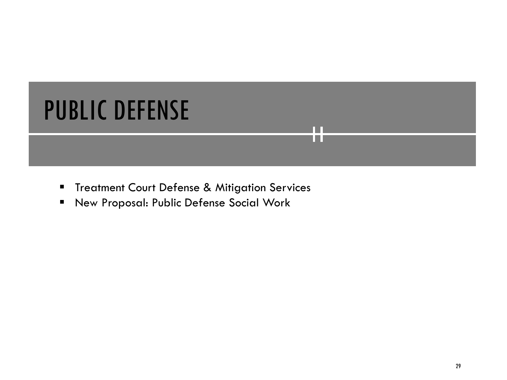# PUBLIC DEFENSE

**Treatment Court Defense & Mitigation Services** 

П TП

New Proposal: Public Defense Social Work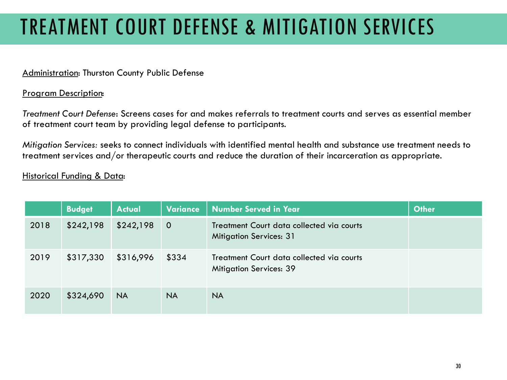# TREATMENT COURT DEFENSE & MITIGATION SERVICES

## Administration: Thurston County Public Defense

### Program Description:

*Treatment Court Defense*: Screens cases for and makes referrals to treatment courts and serves as essential member of treatment court team by providing legal defense to participants.

*Mitigation Services:* seeks to connect individuals with identified mental health and substance use treatment needs to treatment services and/or therapeutic courts and reduce the duration of their incarceration as appropriate.

|      | <b>Budget</b> | <b>Actual</b> | <b>Variance</b> | <b>Number Served in Year</b>                                                | <b>Other</b> |
|------|---------------|---------------|-----------------|-----------------------------------------------------------------------------|--------------|
| 2018 | \$242,198     | \$242,198     | $\overline{O}$  | Treatment Court data collected via courts<br><b>Mitigation Services: 31</b> |              |
| 2019 | \$317,330     | \$316,996     | \$334           | Treatment Court data collected via courts<br><b>Mitigation Services: 39</b> |              |
| 2020 | \$324,690     | <b>NA</b>     | <b>NA</b>       | <b>NA</b>                                                                   |              |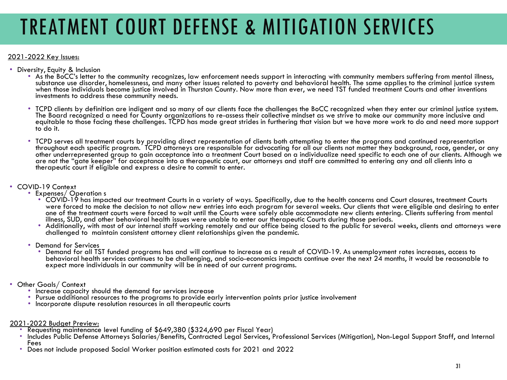# TREATMENT COURT DEFENSE & MITIGATION SERVICES

### 2021-2022 Key Issues:

- 
- Diversity, Equity & Inclusion<br>• As the BoCC's letter to the community recognizes, law enforcement needs support in interacting with community members suffering from mental illness, substance use disorder, homelessness, and many other issues related to poverty and behavioral health. The same applies to the criminal justice system when those individuals become justice involved in Thurston County. Now more than ever, we need TST funded treatment Courts and other inventions investments to address these community needs.
	- TCPD clients by definition are indigent and so many of our clients face the challenges the BoCC recognized when they enter our criminal justice system. The Board recognized a need for County organizations to re-assess their collective mindset as we strive to make our community more inclusive and equitable to those facing these challenges. TCPD has made great strides in furthering that vision but we have more work to do and need more support to do it.
	- TCPD serves all treatment courts by providing direct representation of clients both attempting to enter the programs and continued representation throughout each specific program. TCPD attorneys are responsible for advocating for all our clients not matter they background, race, gender, or any other underrepresented group to gain acceptance into a treatment Court based on a individualize need specific to each one of our clients. Although we are not the "gate keeper" for acceptance into a therapeutic court, our attorneys and staff are committed to entering any and all clients into a therapeutic court if eligible and express a desire to commit to enter.

- COVID-19 Context Expenses/ Operation s
	- COVID-19 has impacted our treatment Courts in a variety of ways. Specifically, due to the health concerns and Court closures, treatment Courts were forced to make the decision to not allow new entries into each program for several weeks. Our clients that were eligible and desiring to enter one of the treatment courts were forced to wait until the Courts were safely able accommodate new clients entering. Clients suffering from mental illness, SUD, and other behavioral health issues were unable to enter our th
	- Additionally, with most of our internal staff working remotely and our office being closed to the public for several weeks, clients and attorneys were challenged to maintain consistent attorney client relationships given the pandemic.
	- Demand for Services
		- Demand for all TST funded programs has and will continue to increase as a result of COVID-19. As unemployment rates increases, access to behavioral health services continues to be challenging, and socio-economics impacts continue over the next 24 months, it would be reasonable to expect more individuals in our community will be in need of our current programs.
- -
- Other Goals/ Context<br>• Increase capacity should the demand for services increase<br>• Pursue additional resources to the programs to provide early intervention points prior justice involvement<br>• Incorporate dispute resoluti
	-
- -
- <u>2021-2022 Budget Preview:</u><br>• Requesting maintenance level funding of \$649,380 (\$324,690 per Fiscal Year)<br>• Includes Public Defense Attorneys Salaries/Benefits, Contracted Legal Services, Professional Services (Mitigation)
	- Fees Does not include proposed Social Worker position estimated costs for 2021 and 2022